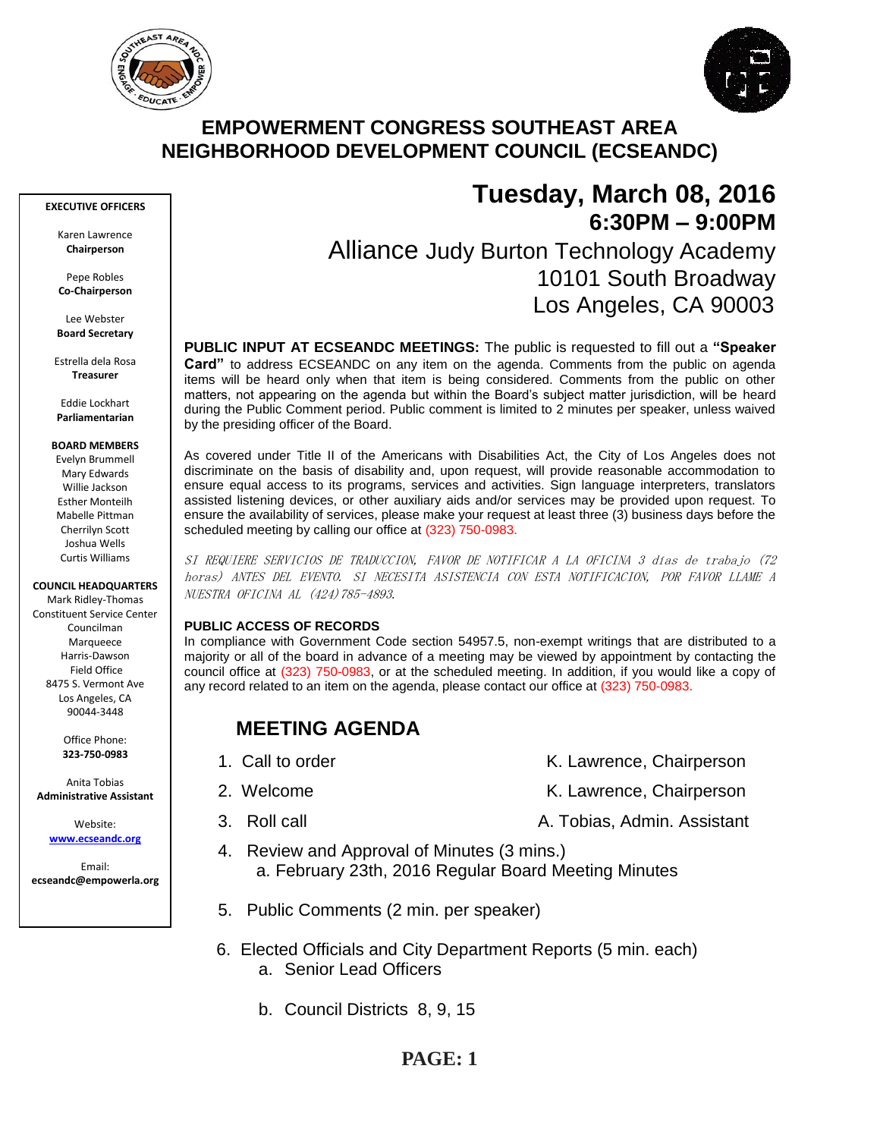



## **EMPOWERMENT CONGRESS SOUTHEAST AREA NEIGHBORHOOD DEVELOPMENT COUNCIL (ECSEANDC)**

#### **EXECUTIVE OFFICERS**

Karen Lawrence **Chairperson**

Pepe Robles **Co-Chairperson**

Lee Webster **Board Secretary**

Estrella dela Rosa **Treasurer**

Eddie Lockhart **Parliamentarian**

#### **BOARD MEMBERS**

Evelyn Brummell Mary Edwards Willie Jackson Esther Monteilh Mabelle Pittman Cherrilyn Scott Joshua Wells Curtis Williams

#### **COUNCIL HEADQUARTERS**

Mark Ridley-Thomas Constituent Service Center Councilman Marqueece Harris-Dawson Field Office 8475 S. Vermont Ave Los Angeles, CA 90044-3448

> Office Phone: **323-750-0983**

Anita Tobias **Administrative Assistant**

> Website: **[www.ecseandc.org](http://www.ecseandc.org/)**

Email: **ecseandc@empowerla.org**

# **Tuesday, March 08, 2016 6:30PM – 9:00PM** Alliance Judy Burton Technology Academy 10101 South Broadway Los Angeles, CA 90003

**PUBLIC INPUT AT ECSEANDC MEETINGS:** The public is requested to fill out a **"Speaker Card"** to address ECSEANDC on any item on the agenda. Comments from the public on agenda items will be heard only when that item is being considered. Comments from the public on other matters, not appearing on the agenda but within the Board's subject matter jurisdiction, will be heard during the Public Comment period. Public comment is limited to 2 minutes per speaker, unless waived by the presiding officer of the Board.

As covered under Title II of the Americans with Disabilities Act, the City of Los Angeles does not discriminate on the basis of disability and, upon request, will provide reasonable accommodation to ensure equal access to its programs, services and activities. Sign language interpreters, translators assisted listening devices, or other auxiliary aids and/or services may be provided upon request. To ensure the availability of services, please make your request at least three (3) business days before the scheduled meeting by calling our office at (323) 750-0983.

SI REQUIERE SERVICIOS DE TRADUCCION, FAVOR DE NOTIFICAR A LA OFICINA 3 días de trabajo (72 horas) ANTES DEL EVENTO. SI NECESITA ASISTENCIA CON ESTA NOTIFICACION, POR FAVOR LLAME A NUESTRA OFICINA AL (424)785-4893.

### **PUBLIC ACCESS OF RECORDS**

In compliance with Government Code section 54957.5, non-exempt writings that are distributed to a majority or all of the board in advance of a meeting may be viewed by appointment by contacting the council office at (323) 750-0983, or at the scheduled meeting. In addition, if you would like a copy of any record related to an item on the agenda, please contact our office at (323) 750-0983.

# **MEETING AGENDA**

- 1. Call to order The Call to order The Chairperson K. Lawrence, Chairperson
- 2. Welcome **K. Lawrence, Chairperson**
- 3. Roll call **A. Tobias, Admin. Assistant**
- 4. Review and Approval of Minutes (3 mins.) a. February 23th, 2016 Regular Board Meeting Minutes
- 5. Public Comments (2 min. per speaker)
- 6. Elected Officials and City Department Reports (5 min. each) a. Senior Lead Officers
	- b. Council Districts 8, 9, 15

# **PAGE: 1**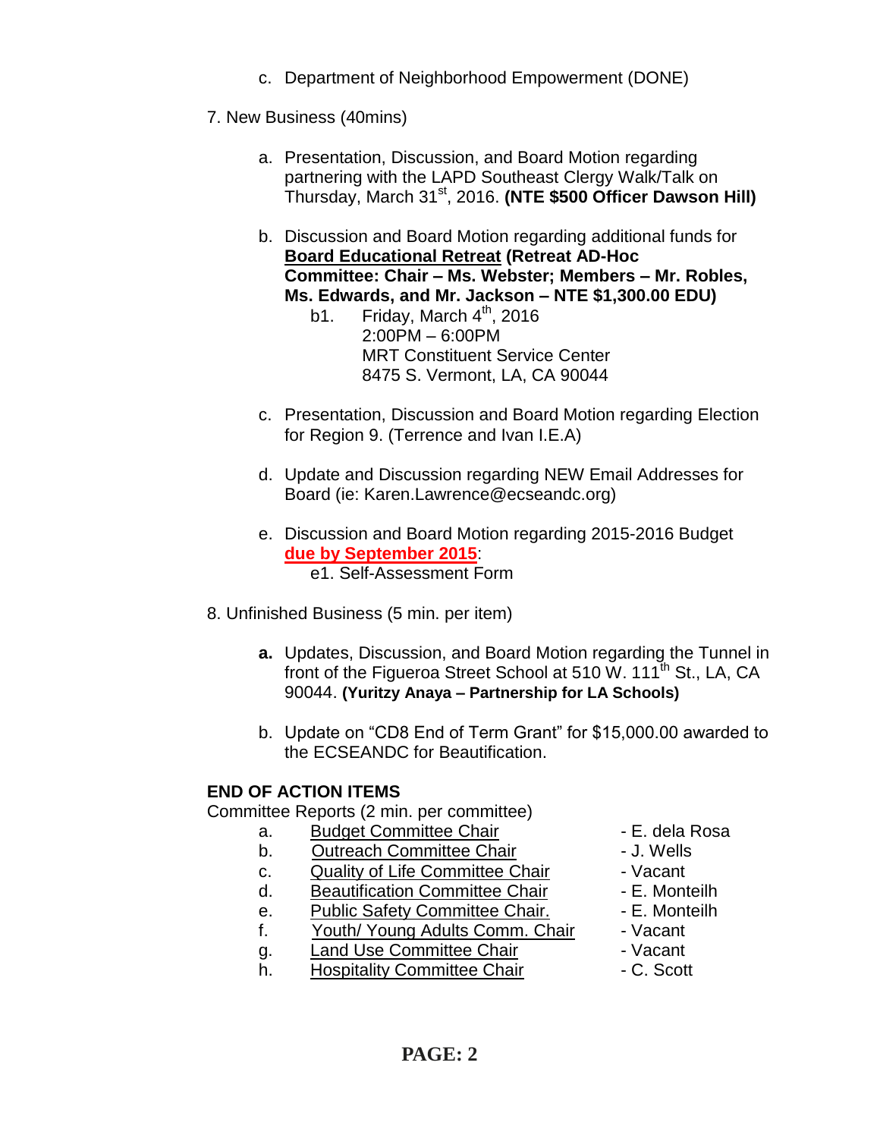- c. Department of Neighborhood Empowerment (DONE)
- 7. New Business (40mins)
	- a. Presentation, Discussion, and Board Motion regarding partnering with the LAPD Southeast Clergy Walk/Talk on .<br>Thursday, March 31<sup>st</sup>, 2016. **(NTE \$500 Officer Dawson Hill)**
	- b. Discussion and Board Motion regarding additional funds for **Board Educational Retreat (Retreat AD-Hoc Committee: Chair – Ms. Webster; Members – Mr. Robles, Ms. Edwards, and Mr. Jackson – NTE \$1,300.00 EDU)**
		- b1. Friday, March  $4^{th}$ , 2016 2:00PM – 6:00PM MRT Constituent Service Center 8475 S. Vermont, LA, CA 90044
	- c. Presentation, Discussion and Board Motion regarding Election for Region 9. (Terrence and Ivan I.E.A)
	- d. Update and Discussion regarding NEW Email Addresses for Board (ie: Karen.Lawrence@ecseandc.org)
	- e. Discussion and Board Motion regarding 2015-2016 Budget **due by September 2015**: e1. Self-Assessment Form
- 8. Unfinished Business (5 min. per item)
	- **a.** Updates, Discussion, and Board Motion regarding the Tunnel in front of the Figueroa Street School at 510 W. 111<sup>th</sup> St., LA, CA 90044. **(Yuritzy Anaya – Partnership for LA Schools)**
	- b. Update on "CD8 End of Term Grant" for \$15,000.00 awarded to the ECSEANDC for Beautification.

### **END OF ACTION ITEMS**

Committee Reports (2 min. per committee)

- a. Budget Committee Chair **1988** E. dela Rosa
- b. Outreach Committee Chair **Day 1. Search Committee Chair**
- c. Quality of Life Committee Chair Vacant
- d. Beautification Committee Chair Fame E. Monteilh
- e. Public Safety Committee Chair. E. Monteilh
- f. Youth/ Young Adults Comm. Chair Vacant
- q. Land Use Committee Chair **1988** Vacant
- h. Hospitality Committee Chair  **C. Scott**
- 
- 
- 
- 
- 
- 
- 
-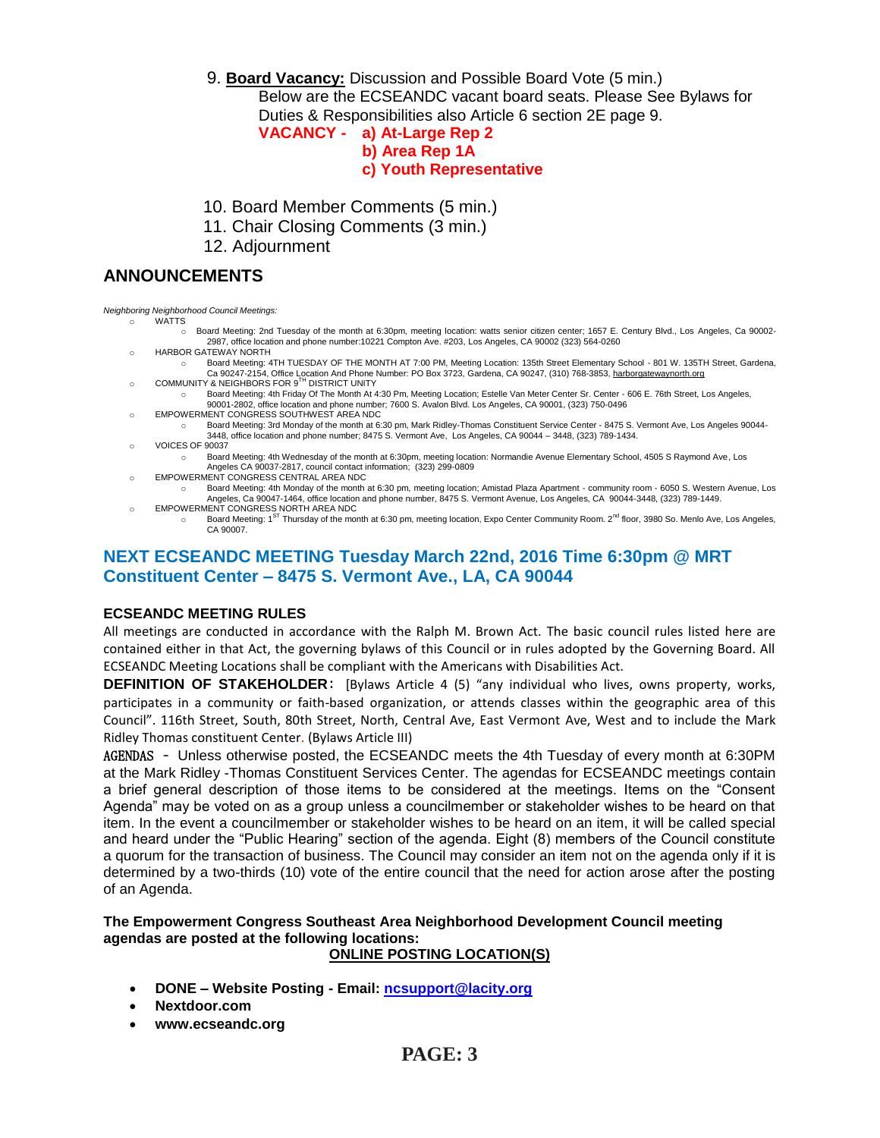9. **Board Vacancy:** Discussion and Possible Board Vote (5 min.) Below are the ECSEANDC vacant board seats. Please See Bylaws for Duties & Responsibilities also Article 6 section 2E page 9.

#### **VACANCY - a) At-Large Rep 2 b) Area Rep 1A c) Youth Representative**

- 10. Board Member Comments (5 min.)
- 11. Chair Closing Comments (3 min.)
- 12. Adjournment

### **ANNOUNCEMENTS**

*Neighboring Neighborhood Council Meetings:* WATTS

- o Board Meeting: 2nd Tuesday of the month at 6:30pm, meeting location: watts senior citizen center; 1657 E. Century Blvd., Los Angeles, Ca 90002- 2987, office location and phone number:10221 Compton Ave. #203, Los Angeles, CA 90002 (323) 564-0260
- o HARBOR GATEWAY NORTH
- o Board Meeting: 4TH TUESDAY OF THE MONTH AT 7:00 PM, Meeting Location: 135th Street Elementary School 801 W. 135TH Street, Gardena, Ca 90247-2154, Office Location And Phone Number: PO Box 3723, Gardena, CA 90247, (310) 768-3853[, harborgatewaynorth.org](http://www.lacity.org/disclaim/disclaim.cfm?goto=http://HARBORGATEWAYNORTH.ORG%20%20%20%20%20%20%20%20%20%20%20%20%20%20%20%20%20%20%20%20%20%20%20%20%20%20%20%20%20/%20_blank) o COMMUNITY & NEIGHBORS FOR 9<sup>TH</sup> DISTRICT UNITY
- o Board Meeting: 4th Friday Of The Month At 4:30 Pm, Meeting Location; Estelle Van Meter Center Sr. Center 606 E. 76th Street, Los Angeles, 90001-2802, office location and phone number; 7600 S. Avalon Blvd. Los Angeles, CA 90001, (323) 750-0496
- o EMPOWERMENT CONGRESS SOUTHWEST AREA NDC
	- o Board Meeting: 3rd Monday of the month at 6:30 pm, Mark Ridley-Thomas Constituent Service Center 8475 S. Vermont Ave, Los Angeles 90044- 3448, office location and phone number; 8475 S. Vermont Ave, Los Angeles, CA 90044 – 3448, (323) 789-1434.
- o VOICES OF 90037
	- o Board Meeting: 4th Wednesday of the month at 6:30pm, meeting location: Normandie Avenue Elementary School, 4505 S Raymond Ave, Los Angeles CA 90037-2817, council contact information; (323) 299-0809
- o EMPOWERMENT CONGRESS CENTRAL AREA NDC
- o Board Meeting: 4th Monday of the month at 6:30 pm, meeting location; Amistad Plaza Apartment community room 6050 S. Western Avenue, Los<br>Angeles, Ca 90047-1464, office location and phone number, 8475 S. Vermont Avenu o EMPOWERMENT CONGRESS NORTH AREA NDC
	- o Board Meeting: 1<sup>ST</sup> Thursday of the month at 6:30 pm, meeting location, Expo Center Community Room. 2<sup>nd</sup> floor, 3980 So. Menlo Ave, Los Angeles, CA 90007.

### **NEXT ECSEANDC MEETING Tuesday March 22nd, 2016 Time 6:30pm @ MRT Constituent Center – 8475 S. Vermont Ave., LA, CA 90044**

### **ECSEANDC MEETING RULES**

All meetings are conducted in accordance with the Ralph M. Brown Act. The basic council rules listed here are contained either in that Act, the governing bylaws of this Council or in rules adopted by the Governing Board. All ECSEANDC Meeting Locations shall be compliant with the Americans with Disabilities Act.

**DEFINITION OF STAKEHOLDER:** [Bylaws Article 4 (5) "any individual who lives, owns property, works, participates in a community or faith-based organization, or attends classes within the geographic area of this Council". 116th Street, South, 80th Street, North, Central Ave, East Vermont Ave, West and to include the Mark Ridley Thomas constituent Center. (Bylaws Article III)

AGENDAS – Unless otherwise posted, the ECSEANDC meets the 4th Tuesday of every month at 6:30PM at the Mark Ridley -Thomas Constituent Services Center. The agendas for ECSEANDC meetings contain a brief general description of those items to be considered at the meetings. Items on the "Consent Agenda" may be voted on as a group unless a councilmember or stakeholder wishes to be heard on that item. In the event a councilmember or stakeholder wishes to be heard on an item, it will be called special and heard under the "Public Hearing" section of the agenda. Eight (8) members of the Council constitute a quorum for the transaction of business. The Council may consider an item not on the agenda only if it is determined by a two-thirds (10) vote of the entire council that the need for action arose after the posting of an Agenda.

### **The Empowerment Congress Southeast Area Neighborhood Development Council meeting agendas are posted at the following locations:**

- **ONLINE POSTING LOCATION(S)**
- **DONE – Website Posting - Email: [ncsupport@lacity.org](mailto:ncsupport@lacity.org)**
- **Nextdoor.com**
- **www.ecseandc.org**